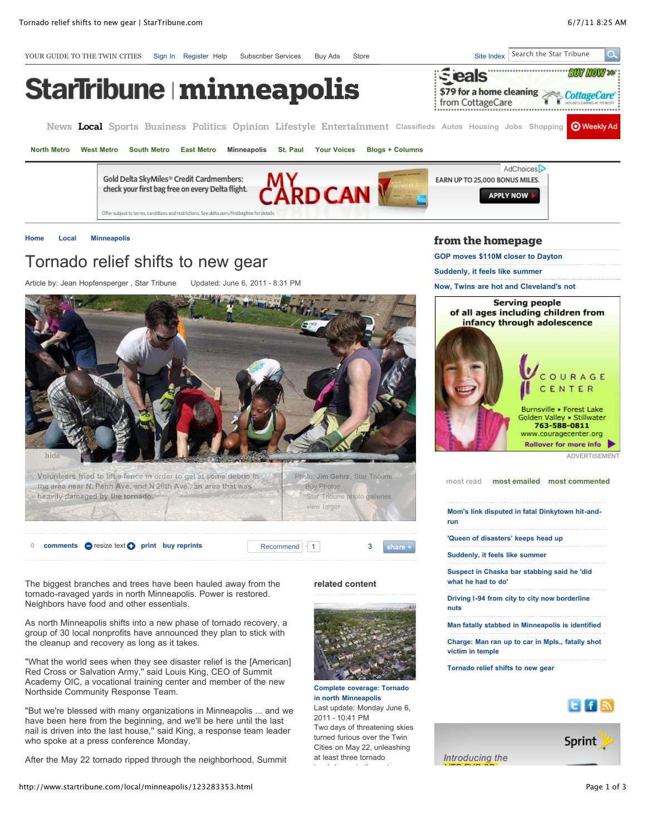

at least three tornado touchdowns in the metro area, Introducing the

After the May 22 tornado ripped through the neighborhood, Summit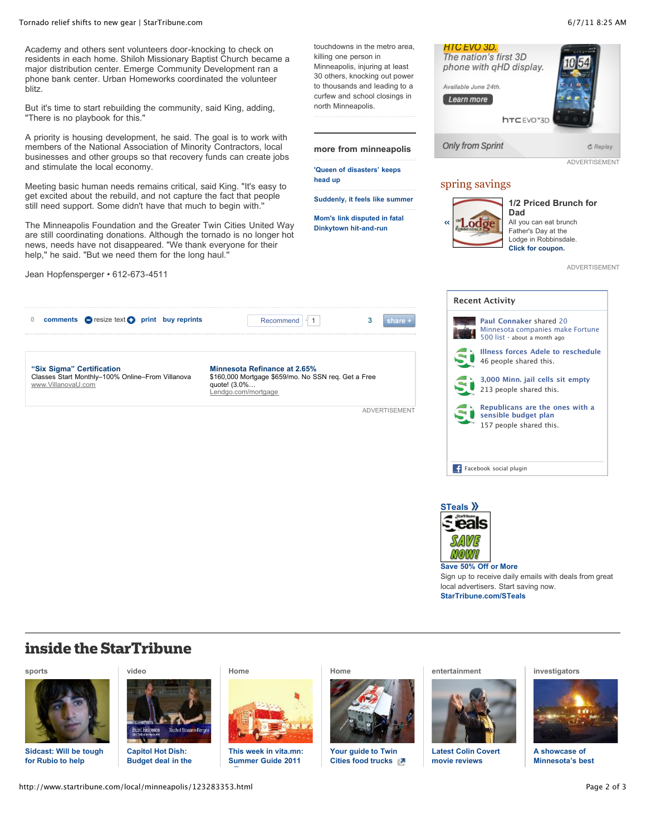#### Tornado relief shifts to new gear | StarTribune.com 6/7/11 8:25 AM

Academy and others sent volunteers door-knocking to check on residents in each home. Shiloh Missionary Baptist Church became a major distribution center. Emerge Community Development ran a phone bank center. Urban Homeworks coordinated the volunteer blitz.

But it's time to start rebuilding the community, said King, adding, "There is no playbook for this.''

A priority is housing development, he said. The goal is to work with members of the National Association of Minority Contractors, local businesses and other groups so that recovery funds can create jobs and stimulate the local economy.

Meeting basic human needs remains critical, said King. "It's easy to get excited about the rebuild, and not capture the fact that people still need support. Some didn't have that much to begin with.''

The Minneapolis Foundation and the Greater Twin Cities United Way are still coordinating donations. Although the tornado is no longer hot news, needs have not disappeared. "We thank everyone for their help," he said. "But we need them for the long haul."

Jean Hopfensperger • 612-673-4511

touchdowns in the metro area, killing one person in Minneapolis, injuring at least 30 others, knocking out power to thousands and leading to a curfew and school closings in north Minneapolis.

**more from minneapolis**

**['Queen of disasters' keeps](http://www.startribune.com/local/minneapolis/123289363.html) head up**

**[Mom's link disputed in fatal](http://www.startribune.com/local/minneapolis/123281943.html)**

[0](http://comments.startribune.com/comments.php?d=content_comments&asset_id=123283353§ion=/local/minneapolis) **[comments](http://comments.startribune.com/comments.php?d=content_comments&asset_id=123283353§ion=/local/minneapolis&comments=true) p**resize text **p** [print](http://www.startribune.com/local/minneapolis/123283353.html#) **[buy reprints](http://ww2.startribune.com/mcu/projects/s/startribunestore/index.html)** Recommend  $\left\{ 1 \right\}$ share + **"Six Sigma" Certification Minnesota Refinance at 2.65%** [Classes Start Monthly–100% Online–From Villanova](http://click.pulse360.com/cgi-bin/clickthrough.cgi?db=context&position=7001&tid=bhnjbgnnbknlbjngbongza&eid=1&id=91881566&creative=279670&query=general%20network%3Apremium&clickid=91897089&tz=US&UNQ=00000130745308030621235000000106054055&value=SB2IK2ECDDZVA&origvalue=C6TCCHBO34VSQ&cgroup=text_627x75)  [\\$160,000 Mortgage \\$659/mo. No SSN req. Get a Free](http://click.pulse360.com/cgi-bin/clickthrough.cgi?db=context&position=7002&tid=bhnjbgnnbknlbjngbongzy&eid=1&id=92980915&creative=1072951&query=general%20network%3Apremium&clickid=91897089&tz=US&UNQ=00000130745308030621235000000106054055&value=EO4OUXV5LC3AQ&origvalue=5UAOYHN3Z3KGY&cgroup=text_627x75) www.VillanovaU.com quote! (3.0%… Lendgo.com/mortgage ADVERTISEMENT



ADVERTISEMENT

| <b>Recent Activity</b> |                                                                                                            |  |  |  |  |  |  |  |
|------------------------|------------------------------------------------------------------------------------------------------------|--|--|--|--|--|--|--|
|                        | <b>Paul Connaker shared 20</b><br>Minnesota companies make Fortune<br>$500$ list $\cdot$ about a month ago |  |  |  |  |  |  |  |
|                        | <b>Illness forces Adele to reschedule</b><br>46 people shared this.                                        |  |  |  |  |  |  |  |
|                        | 3,000 Minn. jail cells sit empty<br>213 people shared this.                                                |  |  |  |  |  |  |  |
|                        | Republicans are the ones with a<br>sensible budget plan<br>157 people shared this.                         |  |  |  |  |  |  |  |
|                        | Facebook social plugin                                                                                     |  |  |  |  |  |  |  |



**[Save 50% Off or More](http://adclick.g.doubleclick.net/aclk%3Fsa%3DL%26ai%3DBuYIplSbuTaD0N8-pqAG2r8S4C5mDvfUBAAAAEAEg4YW0CTgAWInYneobYMm24ImUpJgTsgETd3d3LnN0YXJ0cmlidW5lLmNvbboBCWdmcF9pbWFnZcgBCdoBO2h0dHA6Ly93d3cuc3RhcnRyaWJ1bmUuY29tL2xvY2FsL21pbm5lYXBvbGlzLzEyMzI4MzM1My5odG1s4AECwAIC4AIA6gIYMjgweDE4MF9SaWdodF9SYWlsX1Byb21v-ALw0R6QA6QDmAOkA6gDAdAEkE7gBAE%26num%3D0%26sig%3DAGiWqtxVw1NjXGM5s09yI9CP1P5hKYxwpw%26client%3Dca-pub-0640823897479847%26adurl%3Dhttp://steals.startribune.com/?pcode=signup&source=promomodule)** Sign up to receive daily emails with deals from great local advertisers. Start saving now. **[StarTribune.com/STeals](http://steals.startribune.com/?pcode=signup&source=promomodule)**

# **inside the StarTribune**

## **[sports](http://www.startribune.com/sports)**



**[Sidcast: Will be tough](http://www.startribune.com/sports/wolves/123098573.html) for Rubio to help**



**Capitol Hot Dish: [Budget deal in the](http://www.startribune.com/video/123061933.html)**

#### **[Home](http://www.startribune.com/:)**



**[This week in vita.mn:](http://www.vita.mn/story.php?id=122962473) Summer Guide 2011**

**[Home](http://www.startribune.com/:)**



**[Your guide to Twin](http://www.vita.mn/story.php?id=122979193) Cities food trucks** 

#### **[entertainment](http://www.startribune.com/entertainment)**



**[Latest Colin Covert](http://www.startribune.com/entertainment/movies/) movie reviews**

### **[investigators](http://www.startribune.com/investigators)**



**A showcase of [Minnesota's best](http://www.startribune.com/investigators)**